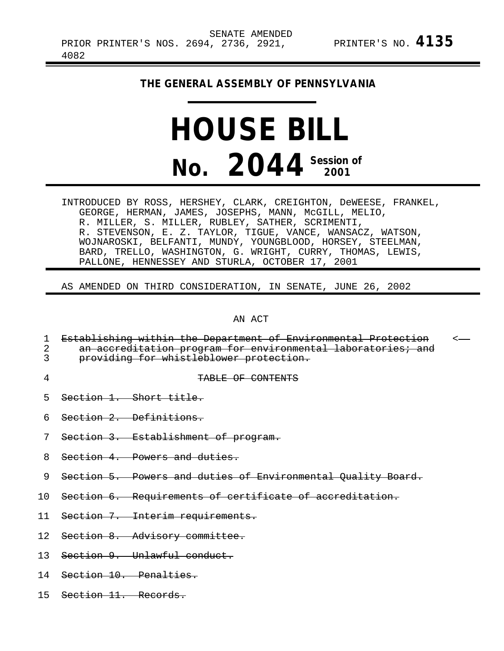## **THE GENERAL ASSEMBLY OF PENNSYLVANIA**

## **HOUSE BILL No. 2044 Session of 2001**

INTRODUCED BY ROSS, HERSHEY, CLARK, CREIGHTON, DeWEESE, FRANKEL, GEORGE, HERMAN, JAMES, JOSEPHS, MANN, McGILL, MELIO, R. MILLER, S. MILLER, RUBLEY, SATHER, SCRIMENTI, R. STEVENSON, E. Z. TAYLOR, TIGUE, VANCE, WANSACZ, WATSON, WOJNAROSKI, BELFANTI, MUNDY, YOUNGBLOOD, HORSEY, STEELMAN, BARD, TRELLO, WASHINGTON, G. WRIGHT, CURRY, THOMAS, LEWIS, PALLONE, HENNESSEY AND STURLA, OCTOBER 17, 2001

AS AMENDED ON THIRD CONSIDERATION, IN SENATE, JUNE 26, 2002

AN ACT

|   | Establishing within the Department of Environmental Protection<br>an accreditation program for environmental laboratories; and<br>providing for whistleblower protection. |  |
|---|---------------------------------------------------------------------------------------------------------------------------------------------------------------------------|--|
| 4 | TABLE OF CONTENTS                                                                                                                                                         |  |
|   | 5 Section 1. Short title.                                                                                                                                                 |  |
|   | 6 Section 2. Definitions.                                                                                                                                                 |  |
|   | 7 Section 3. Establishment of program.                                                                                                                                    |  |
|   | 8 Section 4. Powers and duties.                                                                                                                                           |  |

- 9 Section 5. Powers and duties of Environmental Quality Board.
- 10 Section 6. Requirements of certificate of accreditation.
- 11 Section 7. Interim requirements.
- 12 Section 8. Advisory committee.
- 13 Section 9. Unlawful conduct.
- 14 Section 10. Penalties.
- 15 Section 11. Records.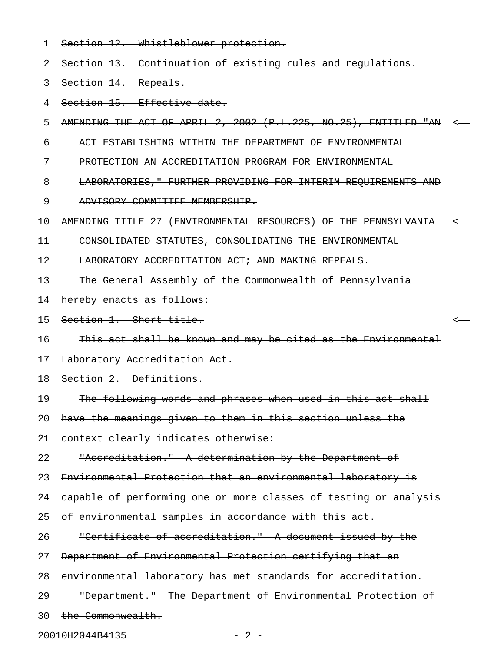1 Section 12. Whistleblower protection.

2 Section 13. Continuation of existing rules and regulations.

3 Section 14. Repeals.

4 Section 15. Effective date.

5 AMENDING THE ACT OF APRIL 2, 2002 (P.L.225, NO.25), ENTITLED "AN <

6 ACT ESTABLISHING WITHIN THE DEPARTMENT OF ENVIRONMENTAL

7 PROTECTION AN ACCREDITATION PROGRAM FOR ENVIRONMENTAL

- 8 LABORATORIES," FURTHER PROVIDING FOR INTERIM REQUIREMENTS AND
- 9 ADVISORY COMMITTEE MEMBERSHIP.

10 AMENDING TITLE 27 (ENVIRONMENTAL RESOURCES) OF THE PENNSYLVANIA <

11 CONSOLIDATED STATUTES, CONSOLIDATING THE ENVIRONMENTAL

12 LABORATORY ACCREDITATION ACT; AND MAKING REPEALS.

13 The General Assembly of the Commonwealth of Pennsylvania

14 hereby enacts as follows:

15 Section 1. Short title. <

16 This act shall be known and may be cited as the Environmental

17 Laboratory Accreditation Act.

18 Section 2. Definitions.

19 The following words and phrases when used in this act shall

20 have the meanings given to them in this section unless the

21 context clearly indicates otherwise:

22 "Accreditation." A determination by the Department of

23 Environmental Protection that an environmental laboratory is

24 capable of performing one or more classes of testing or analysis

25 of environmental samples in accordance with this act.

26 "Certificate of accreditation." A document issued by the

27 Department of Environmental Protection certifying that an

28 environmental laboratory has met standards for accreditation.

29 "Department." The Department of Environmental Protection of

30 the Commonwealth.

20010H2044B4135 - 2 -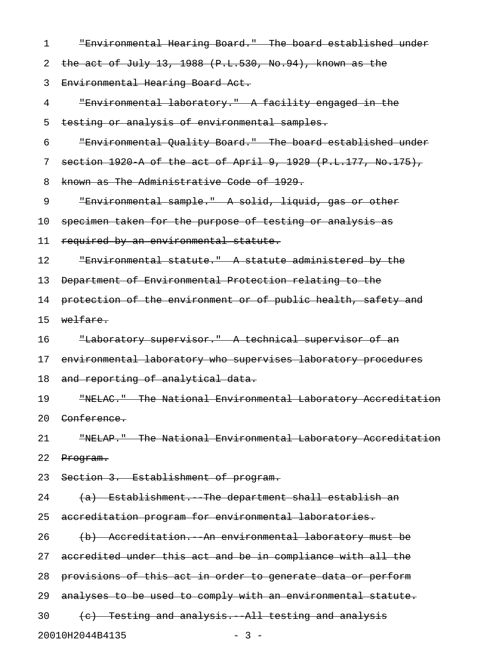| $\mathbf 1$ | "Environmental Hearing Board." The board established under            |
|-------------|-----------------------------------------------------------------------|
| 2           | the act of July 13, 1988 $(P.L.530, No.94)$ , known as the            |
| 3           | Environmental Hearing Board Act.                                      |
| 4           | "Environmental laboratory." A facility engaged in the                 |
| 5           | testing or analysis of environmental samples.                         |
| 6           | "Environmental Quality Board." The board established under            |
| 7           | section 1920 A of the act of April 9, 1929 (P.L.177, No.175),         |
| 8           | known as The Administrative Code of 1929.                             |
| 9           | "Environmental sample." A solid, liquid, gas or other                 |
| 10          | specimen taken for the purpose of testing or analysis as              |
| 11          | required by an environmental statute.                                 |
| 12          | "Environmental statute." A statute administered by the                |
| 13          | Department of Environmental Protection relating to the                |
| 14          | protection of the environment or of public health, safety and         |
| 15          | welfare.                                                              |
| 16          | "Laboratory supervisor." A technical supervisor of an                 |
| 17          | environmental laboratory who supervises laboratory procedures         |
| 18          | and reporting of analytical data.                                     |
| 19          | "NELAC." The National Environmental Laboratory Accreditation          |
|             | 20 <del>Conference.</del>                                             |
| 21          | "NELAP." The National Environmental Laboratory Accreditation          |
| 22          | Program.                                                              |
|             | 23 Section 3. Establishment of program.                               |
|             | 24 and $\sim$<br>(a) Establishment. The department shall establish an |
|             | 25 accreditation program for environmental laboratories.              |
| 26          | (b) Accreditation. An environmental laboratory must be                |
|             | 27 accredited under this act and be in compliance with all the        |
| 28          | provisions of this act in order to generate data or perform           |
|             | 29 analyses to be used to comply with an environmental statute.       |
|             | (e) Testing and analysis. All testing and analysis<br>$30 -$          |
|             | 20010H2044B4135<br>$-3 -$                                             |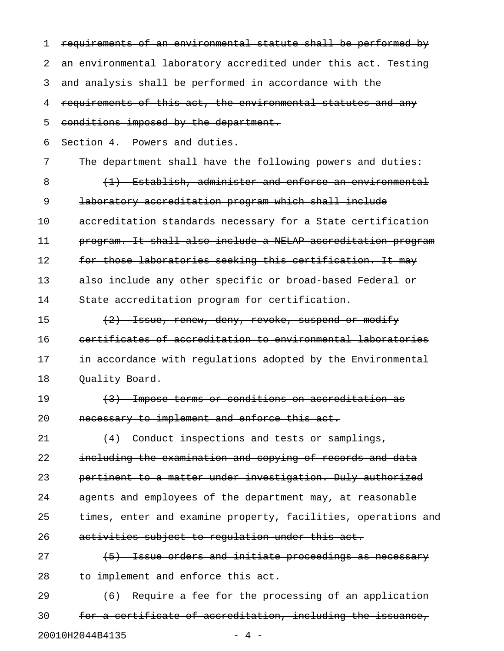| 1  | requirements of an environmental statute shall be performed by |
|----|----------------------------------------------------------------|
| 2  | an environmental laboratory accredited under this act. Testing |
| 3  | and analysis shall be performed in accordance with the         |
| 4  | requirements of this act, the environmental statutes and any   |
| 5  | conditions imposed by the department.                          |
| 6  | Section 4. Powers and duties.                                  |
| 7  | The department shall have the following powers and duties:     |
| 8  | (1) Establish, administer and enforce an environmental         |
| 9  | laboratory accreditation program which shall include           |
| 10 | accreditation standards necessary for a State certification    |
| 11 | program. It shall also include a NELAP accreditation program   |
| 12 | for those laboratories seeking this certification. It may      |
| 13 | also include any other specific or broad based Federal or      |
| 14 | State accreditation program for certification.                 |
| 15 | (2) Issue, renew, deny, revoke, suspend or modify              |
| 16 | certificates of accreditation to environmental laboratories    |
| 17 | in accordance with regulations adopted by the Environmental    |
| 18 | Quality Board.                                                 |
| 19 | (3) Impose terms or conditions on accreditation as             |
| 20 | necessary to implement and enforce this act.                   |
| 21 | (4) Conduct inspections and tests or samplings,                |
| 22 | including the examination and copying of records and data      |
| 23 | pertinent to a matter under investigation. Duly authorized     |
| 24 | agents and employees of the department may, at reasonable      |
| 25 | times, enter and examine property, facilities, operations and  |
| 26 | activities subject to regulation under this act.               |
| 27 | (5) Issue orders and initiate proceedings as necessary         |
| 28 | to implement and enforce this act.                             |
| 29 | (6) Require a fee for the processing of an application         |
| 30 | for a certificate of accreditation, including the issuance,    |

20010H2044B4135 - 4 -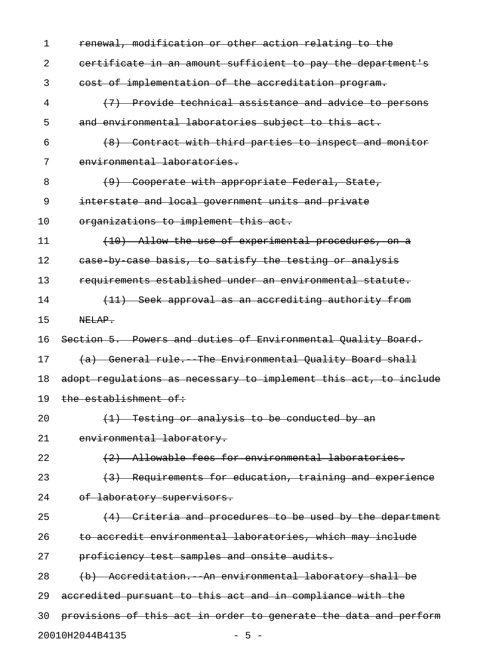| 1  | renewal, modification or other action relating to the            |
|----|------------------------------------------------------------------|
| 2  | eertificate in an amount sufficient to pay the department's      |
| 3  | cost of implementation of the accreditation program.             |
| 4  | (7) Provide technical assistance and advice to persons           |
| 5  | and environmental laboratories subject to this act.              |
| 6  | (8) Contract with third parties to inspect and monitor           |
| 7  | environmental laboratories.                                      |
| 8  | (9) Cooperate with appropriate Federal, State,                   |
| 9  | interstate and local government units and private                |
| 10 | organizations to implement this act.                             |
| 11 | (10) Allow the use of experimental procedures, on a              |
| 12 | ease by case basis, to satisfy the testing or analysis           |
| 13 | requirements established under an environmental statute.         |
| 14 | (11) Seek approval as an accrediting authority from              |
| 15 | NELAP.                                                           |
| 16 | Section 5. Powers and duties of Environmental Quality Board.     |
| 17 | (a) General rule. The Environmental Quality Board shall          |
| 18 | adopt regulations as necessary to implement this act, to include |
| 19 | the establishment of:                                            |
| 20 | $(1)$ Testing or analysis to be conducted by an                  |
| 21 | environmental laboratory.                                        |
| 22 | (2) Allowable fees for environmental laboratories.               |
| 23 | (3) Requirements for education, training and experience          |
| 24 | of laboratory supervisors.                                       |
| 25 | (4) Criteria and procedures to be used by the department         |
| 26 | to accredit environmental laboratories, which may include        |
| 27 | proficiency test samples and onsite audits.                      |
| 28 | (b) Accreditation. An environmental laboratory shall be          |
| 29 | accredited pursuant to this act and in compliance with the       |
| 30 | provisions of this act in order to generate the data and perform |
|    | 20010H2044B4135<br>$-5 -$                                        |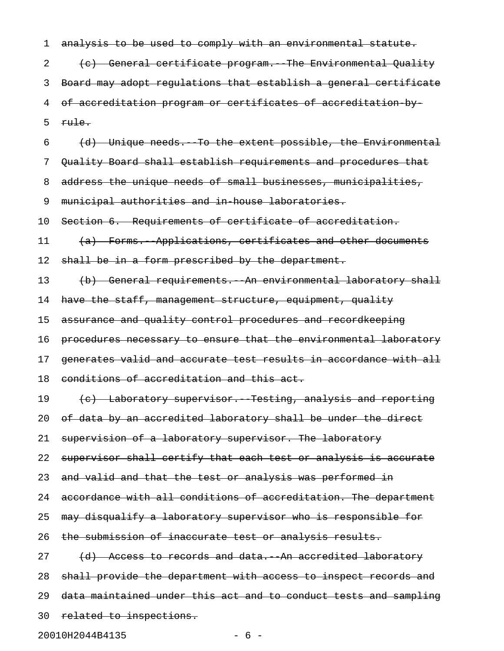1 analysis to be used to comply with an environmental statute. 2 (c) General certificate program. The Environmental Quality 3 Board may adopt regulations that establish a general certificate 4 of accreditation program or certificates of accreditation-by-5  $rule.1cm$  $6$  (d) Unique needs. To the extent possible, the Environmental 7 Quality Board shall establish requirements and procedures that 8 address the unique needs of small businesses, municipalities, 9 municipal authorities and in-house laboratories. 10 Section 6. Requirements of certificate of accreditation. 11 (a) Forms. Applications, certificates and other documents 12 shall be in a form prescribed by the department. 13 (b) General requirements. An environmental laboratory shall 14 have the staff, management structure, equipment, quality 15 assurance and quality control procedures and recordkeeping 16 procedures necessary to ensure that the environmental laboratory 17 generates valid and accurate test results in accordance with all 18 conditions of accreditation and this act. 19 (c) Laboratory supervisor. Testing, analysis and reporting 20 of data by an accredited laboratory shall be under the direct 21 supervision of a laboratory supervisor. The laboratory 22 supervisor shall certify that each test or analysis is accurate 23 and valid and that the test or analysis was performed in 24 accordance with all conditions of accreditation. The department 25 may disqualify a laboratory supervisor who is responsible for 26 the submission of inaccurate test or analysis results. 27 (d) Access to records and data. An accredited laboratory 28 shall provide the department with access to inspect records and 29 data maintained under this act and to conduct tests and sampling 30 related to inspections.

20010H2044B4135 - 6 -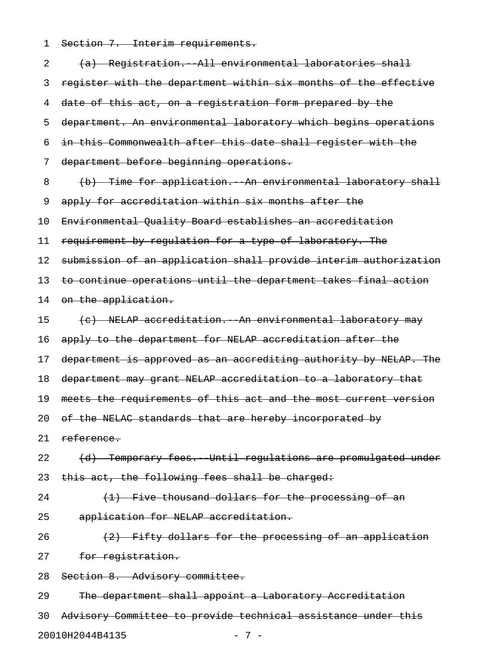1 Section 7. Interim requirements.

| 2  | (a) Registration. All environmental laboratories shall           |
|----|------------------------------------------------------------------|
| 3  | register with the department within six months of the effective  |
| 4  | date of this act, on a registration form prepared by the         |
| 5  | department. An environmental laboratory which begins operations  |
| 6  | in this Commonwealth after this date shall register with the     |
| 7  | department before beginning operations.                          |
| 8  | (b) Time for application. An environmental laboratory shall      |
| 9  | apply for accreditation within six months after the              |
| 10 | Environmental Quality Board establishes an accreditation         |
| 11 | requirement by regulation for a type of laboratory. The          |
| 12 | submission of an application shall provide interim authorization |
| 13 | to continue operations until the department takes final action   |
| 14 | on the application.                                              |
| 15 | (c) NELAP accreditation. An environmental laboratory may         |
| 16 | apply to the department for NELAP accreditation after the        |
| 17 | department is approved as an accrediting authority by NELAP. The |
| 18 | department may grant NELAP accreditation to a laboratory that    |
| 19 | meets the requirements of this act and the most current version  |
| 20 | of the NELAC standards that are hereby incorporated by           |
| 21 | reference.                                                       |
| 22 | (d) Temporary fees. Until regulations are promulgated under      |
| 23 | this act, the following fees shall be charged:                   |
| 24 | (1) Five thousand dollars for the processing of an               |
| 25 | application for NELAP accreditation.                             |
| 26 | (2) Fifty dollars for the processing of an application           |
| 27 | for registration.                                                |
| 28 | Section 8. Advisory committee.                                   |
| 29 | The department shall appoint a Laboratory Accreditation          |
| 30 | Advisory Committee to provide technical assistance under this    |

20010H2044B4135 - 7 -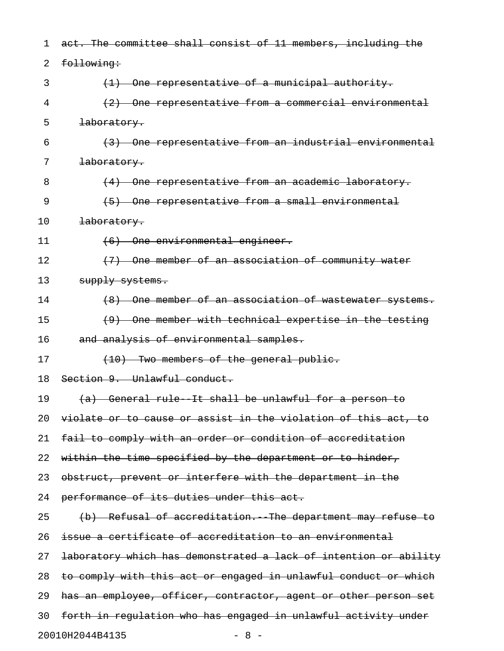| 1  | act. The committee shall consist of 11 members, including the    |
|----|------------------------------------------------------------------|
| 2  | following:                                                       |
| 3  | (1) One representative of a municipal authority.                 |
| 4  | (2) One representative from a commercial environmental           |
| 5  | laboratory.                                                      |
| 6  | (3) One representative from an industrial environmental          |
| 7  | laboratory.                                                      |
| 8  | (4) One representative from an academic laboratory.              |
| 9  | (5) One representative from a small environmental                |
| 10 | laboratory.                                                      |
| 11 | (6) One environmental engineer.                                  |
| 12 | One member of an association of community water                  |
| 13 | supply systems.                                                  |
| 14 | (8) One member of an association of wastewater systems.          |
| 15 | (9) One member with technical expertise in the testing           |
| 16 | and analysis of environmental samples.                           |
| 17 | $(10)$ Two members of the general public.                        |
| 18 | Section 9. Unlawful conduct.                                     |
| 19 | (a) General rule It shall be unlawful for a person to            |
| 20 | violate or to cause or assist in the violation of this act, to   |
| 21 | fail to comply with an order or condition of accreditation       |
| 22 | within the time specified by the department or to hinder,        |
| 23 | obstruct, prevent or interfere with the department in the        |
| 24 | performance of its duties under this act.                        |
| 25 | (b) Refusal of accreditation. The department may refuse to       |
| 26 | issue a certificate of accreditation to an environmental         |
| 27 | laboratory which has demonstrated a lack of intention or ability |
| 28 | to comply with this act or engaged in unlawful conduct or which  |
| 29 | has an employee, officer, contractor, agent or other person set  |
| 30 | forth in regulation who has engaged in unlawful activity under   |
|    | 20010H2044B4135<br>$-8 -$                                        |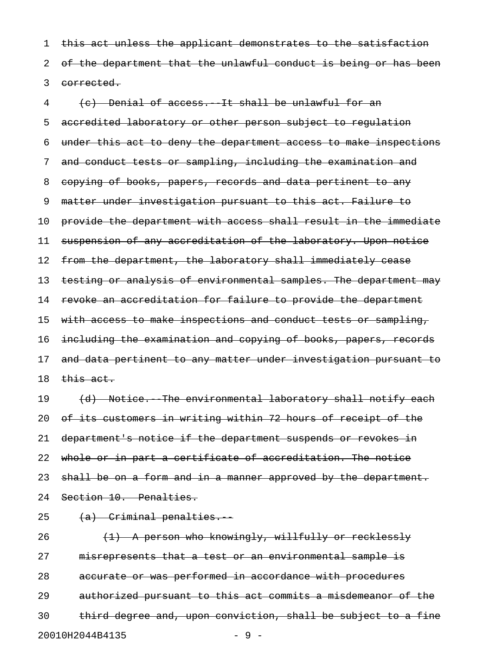1 this act unless the applicant demonstrates to the satisfaction 2 of the department that the unlawful conduct is being or has been 3 corrected.

4 (c) Denial of access. It shall be unlawful for an 5 accredited laboratory or other person subject to regulation 6 under this act to deny the department access to make inspections 7 and conduct tests or sampling, including the examination and 8 copying of books, papers, records and data pertinent to any 9 matter under investigation pursuant to this act. Failure to 10 provide the department with access shall result in the immediate 11 suspension of any accreditation of the laboratory. Upon notice 12 from the department, the laboratory shall immediately cease 13 testing or analysis of environmental samples. The department may 14 revoke an accreditation for failure to provide the department 15 with access to make inspections and conduct tests or sampling, 16 including the examination and copying of books, papers, records 17 and data pertinent to any matter under investigation pursuant to 18 this act.

19 (d) Notice. The environmental laboratory shall notify each 20 of its customers in writing within 72 hours of receipt of the 21 department's notice if the department suspends or revokes in 22 whole or in part a certificate of accreditation. The notice 23 shall be on a form and in a manner approved by the department. 24 Section 10. Penalties.

25 (a) Criminal penalties.

26  $(1)$  A person who knowingly, willfully or recklessly 27 misrepresents that a test or an environmental sample is 28 accurate or was performed in accordance with procedures 29 authorized pursuant to this act commits a misdemeanor of the 30 third degree and, upon conviction, shall be subject to a fine 20010H2044B4135 - 9 -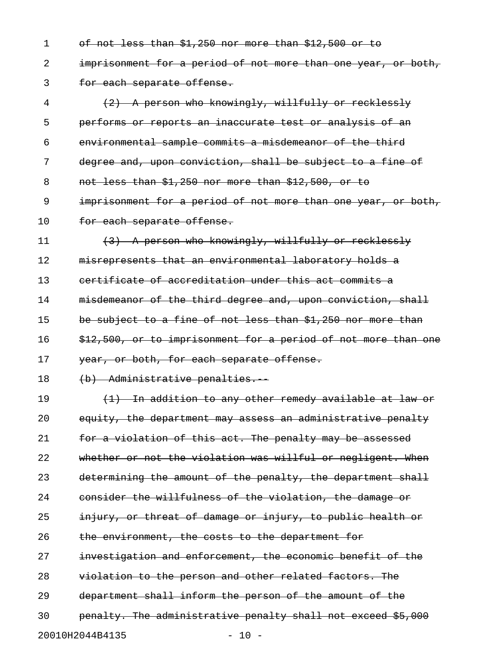1 of not less than \$1,250 nor more than \$12,500 or to 2 imprisonment for a period of not more than one year, or both, 3 for each separate offense.

4 (2) A person who knowingly, willfully or recklessly 5 performs or reports an inaccurate test or analysis of an 6 environmental sample commits a misdemeanor of the third 7 degree and, upon conviction, shall be subject to a fine of 8 not less than \$1,250 nor more than \$12,500, or to 9 imprisonment for a period of not more than one year, or both, 10 for each separate offense.

11 (3) A person who knowingly, willfully or recklessly 12 misrepresents that an environmental laboratory holds a 13 certificate of accreditation under this act commits a 14 misdemeanor of the third degree and, upon conviction, shall 15 be subject to a fine of not less than \$1,250 nor more than 16 \$12,500, or to imprisonment for a period of not more than one 17 year, or both, for each separate offense.

18 (b) Administrative penalties.

19 (1) In addition to any other remedy available at law or 20 equity, the department may assess an administrative penalty 21 for a violation of this act. The penalty may be assessed 22 whether or not the violation was willful or negligent. When 23 determining the amount of the penalty, the department shall 24 consider the willfulness of the violation, the damage or 25 injury, or threat of damage or injury, to public health or 26 the environment, the costs to the department for 27 investigation and enforcement, the economic benefit of the 28 violation to the person and other related factors. The 29 department shall inform the person of the amount of the 30 penalty. The administrative penalty shall not exceed \$5,000 20010H2044B4135 - 10 -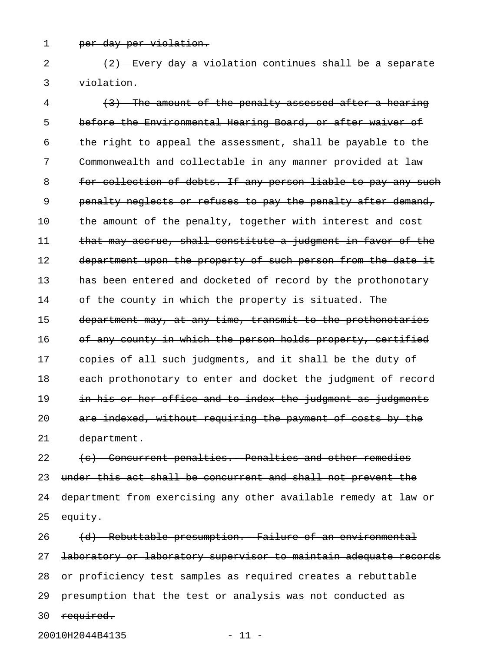1 per day per violation.

2 (2) Every day a violation continues shall be a separate 3 violation.

4 (3) The amount of the penalty assessed after a hearing 5 before the Environmental Hearing Board, or after waiver of 6 the right to appeal the assessment, shall be payable to the 7 Commonwealth and collectable in any manner provided at law 8 for collection of debts. If any person liable to pay any such 9 penalty neglects or refuses to pay the penalty after demand, 10 the amount of the penalty, together with interest and cost 11 that may accrue, shall constitute a judgment in favor of the 12 department upon the property of such person from the date it 13 has been entered and docketed of record by the prothonotary 14 of the county in which the property is situated. The 15 department may, at any time, transmit to the prothonotaries 16 of any county in which the person holds property, certified 17 copies of all such judgments, and it shall be the duty of 18 each prothonotary to enter and docket the judgment of record 19 in his or her office and to index the judgment as judgments 20 are indexed, without requiring the payment of costs by the 21 department.

22 (c) Concurrent penalties. Penalties and other remedies 23 under this act shall be concurrent and shall not prevent the 24 department from exercising any other available remedy at law or 25 equity.

26 (d) Rebuttable presumption. Failure of an environmental 27 laboratory or laboratory supervisor to maintain adequate records 28 or proficiency test samples as required creates a rebuttable 29 presumption that the test or analysis was not conducted as 30 required.

20010H2044B4135 - 11 -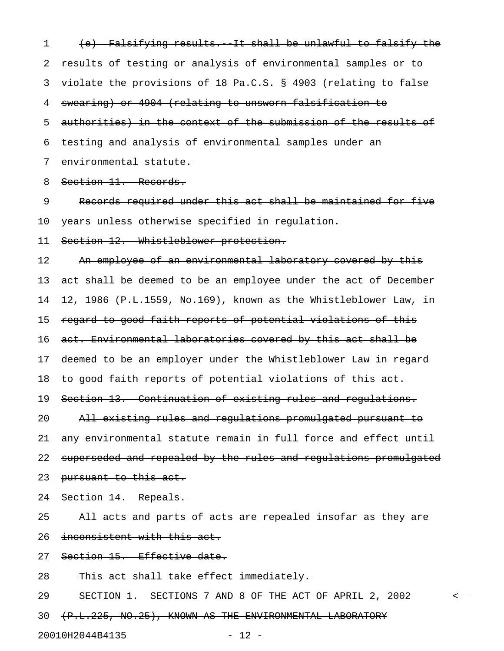1 (e) Falsifying results. It shall be unlawful to falsify the 2 results of testing or analysis of environmental samples or to 3 violate the provisions of 18 Pa.C.S. § 4903 (relating to false 4 swearing) or 4904 (relating to unsworn falsification to 5 authorities) in the context of the submission of the results of 6 testing and analysis of environmental samples under an 7 environmental statute. 8 Section 11. Records. 9 Records required under this act shall be maintained for five 10 years unless otherwise specified in regulation. 11 Section 12. Whistleblower protection. 12 An employee of an environmental laboratory covered by this 13 act shall be deemed to be an employee under the act of December 14 12, 1986 (P.L.1559, No.169), known as the Whistleblower Law, in 15 regard to good faith reports of potential violations of this 16 act. Environmental laboratories covered by this act shall be 17 deemed to be an employer under the Whistleblower Law in regard 18 to good faith reports of potential violations of this act. 19 Section 13. Continuation of existing rules and regulations. 20 All existing rules and regulations promulgated pursuant to 21 any environmental statute remain in full force and effect until 22 superseded and repealed by the rules and regulations promulgated 23 pursuant to this act. 24 Section 14. Repeals. 25 All acts and parts of acts are repealed insofar as they are 26 inconsistent with this act. 27 Section 15. Effective date. 28 This act shall take effect immediately. 29 SECTION 1. SECTIONS 7 AND 8 OF THE ACT OF APRIL 2, 2002 < 30 (P.L.225, NO.25), KNOWN AS THE ENVIRONMENTAL LABORATORY

20010H2044B4135 - 12 -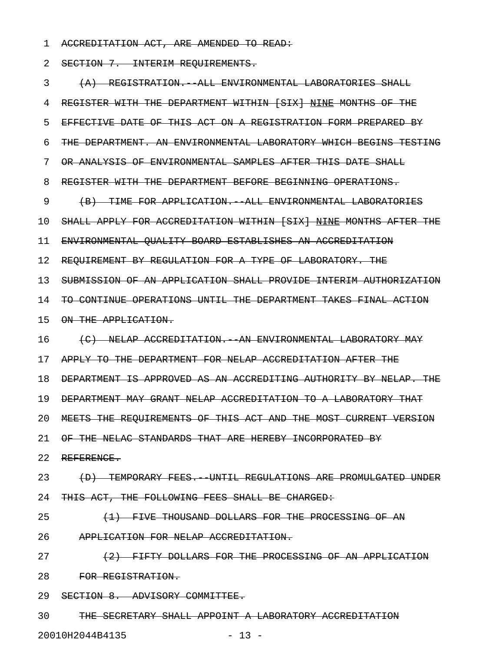1 ACCREDITATION ACT, ARE AMENDED TO READ:

2 SECTION 7. INTERIM REOUIREMENTS.

3 (A) REGISTRATION.--ALL ENVIRONMENTAL LABORATORIES SHALL 4 REGISTER WITH THE DEPARTMENT WITHIN [SIX] NINE MONTHS OF THE 5 EFFECTIVE DATE OF THIS ACT ON A REGISTRATION FORM PREPARED BY 6 THE DEPARTMENT. AN ENVIRONMENTAL LABORATORY WHICH BEGINS TESTING 7 OR ANALYSIS OF ENVIRONMENTAL SAMPLES AFTER THIS DATE SHALL 8 REGISTER WITH THE DEPARTMENT BEFORE BEGINNING OPERATIONS. 9 (B) TIME FOR APPLICATION.--ALL ENVIRONMENTAL LABORATORIES 10 SHALL APPLY FOR ACCREDITATION WITHIN [SIX] NINE MONTHS AFTER THE 11 ENVIRONMENTAL QUALITY BOARD ESTABLISHES AN ACCREDITATION 12 REQUIREMENT BY REGULATION FOR A TYPE OF LABORATORY. THE 13 SUBMISSION OF AN APPLICATION SHALL PROVIDE INTERIM AUTHORIZATION 14 TO CONTINUE OPERATIONS UNTIL THE DEPARTMENT TAKES FINAL ACTION 15 ON THE APPLICATION. 16 (C) NELAP ACCREDITATION. AN ENVIRONMENTAL LABORATORY MAY 17 APPLY TO THE DEPARTMENT FOR NELAP ACCREDITATION AFTER THE 18 DEPARTMENT IS APPROVED AS AN ACCREDITING AUTHORITY BY NELAP. THE 19 DEPARTMENT MAY GRANT NELAP ACCREDITATION TO A LABORATORY THAT 20 MEETS THE REQUIREMENTS OF THIS ACT AND THE MOST CURRENT VERSION 21 OF THE NELAC STANDARDS THAT ARE HEREBY INCORPORATED BY 22 REFERENCE. 23 (D) TEMPORARY FEES. UNTIL REGULATIONS ARE PROMULGATED UNDER 24 THIS ACT, THE FOLLOWING FEES SHALL BE CHARGED: 25 (1) FIVE THOUSAND DOLLARS FOR THE PROCESSING OF AN 26 APPLICATION FOR NELAP ACCREDITATION. 27 (2) FIFTY DOLLARS FOR THE PROCESSING OF AN APPLICATION 28 FOR REGISTRATION. 29 SECTION 8. ADVISORY COMMITTEE. 30 THE SECRETARY SHALL APPOINT A LABORATORY ACCREDITATION

20010H2044B4135 - 13 -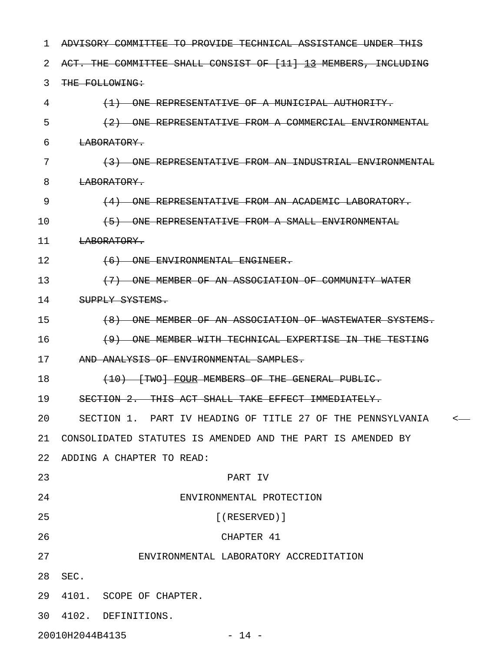| ı  | <del>ADVISORY COMMITTEE TO PROVIDE TECHNICAL ASSISTANCE UNDER THIS</del>               |
|----|----------------------------------------------------------------------------------------|
| 2  | ACT. THE COMMITTEE SHALL CONSIST OF [11] 13 MEMBERS, INCLUDING                         |
| 3  | THE FOLLOWING:                                                                         |
| 4  | (1) ONE REPRESENTATIVE OF A MUNICIPAL AUTHORITY.                                       |
| 5  | (2) ONE REPRESENTATIVE FROM A COMMERCIAL ENVIRONMENTAL                                 |
| 6  | LABORATORY.                                                                            |
| 7  | (3) ONE REPRESENTATIVE FROM AN INDUSTRIAL ENVIRONMENTAL                                |
| 8  | LABORATORY.                                                                            |
| 9  | (4) ONE REPRESENTATIVE FROM AN ACADEMIC LABORATORY.                                    |
| 10 | (5) ONE REPRESENTATIVE FROM A SMALL ENVIRONMENTAL                                      |
| 11 | LABORATORY.                                                                            |
| 12 | $(6)$ ONE ENVIRONMENTAL ENGINEER.                                                      |
| 13 | (7) ONE MEMBER OF AN ASSOCIATION OF COMMUNITY WATER                                    |
| 14 | SUPPLY SYSTEMS.                                                                        |
| 15 | (8) ONE MEMBER OF AN ASSOCIATION OF WASTEWATER SYSTEMS.                                |
| 16 | (9) ONE MEMBER WITH TECHNICAL EXPERTISE IN THE TESTING                                 |
| 17 | AND ANALYSIS OF ENVIRONMENTAL SAMPLES.                                                 |
| 18 | (10) [TWO] FOUR MEMBERS OF THE GENERAL PUBLIC.                                         |
| 19 | SECTION 2. THIS ACT SHALL TAKE EFFECT IMMEDIATELY.                                     |
| 20 | SECTION 1. PART IV HEADING OF TITLE 27 OF THE PENNSYLVANIA<br>$\overline{\phantom{a}}$ |
| 21 | CONSOLIDATED STATUTES IS AMENDED AND THE PART IS AMENDED BY                            |
| 22 | ADDING A CHAPTER TO READ:                                                              |
| 23 | PART IV                                                                                |
| 24 | ENVIRONMENTAL PROTECTION                                                               |
| 25 | $[$ (RESERVED)]                                                                        |
| 26 | CHAPTER 41                                                                             |
| 27 | ENVIRONMENTAL LABORATORY ACCREDITATION                                                 |
| 28 | SEC.                                                                                   |
| 29 | 4101. SCOPE OF CHAPTER.                                                                |
| 30 | 4102. DEFINITIONS.                                                                     |
|    |                                                                                        |

20010H2044B4135 - 14 -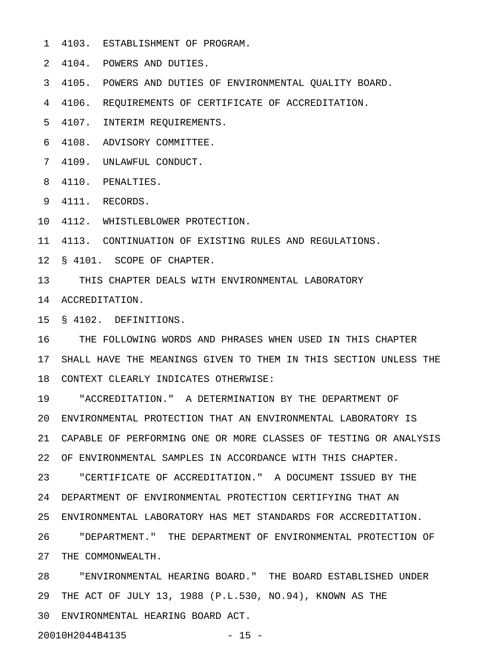- 1 4103. ESTABLISHMENT OF PROGRAM.
- 2 4104. POWERS AND DUTIES.
- 3 4105. POWERS AND DUTIES OF ENVIRONMENTAL QUALITY BOARD.
- 4 4106. REQUIREMENTS OF CERTIFICATE OF ACCREDITATION.
- 5 4107. INTERIM REQUIREMENTS.
- 6 4108. ADVISORY COMMITTEE.
- 7 4109. UNLAWFUL CONDUCT.
- 8 4110. PENALTIES.
- 9 4111. RECORDS.
- 10 4112. WHISTLEBLOWER PROTECTION.
- 11 4113. CONTINUATION OF EXISTING RULES AND REGULATIONS.
- 12 § 4101. SCOPE OF CHAPTER.
- 13 THIS CHAPTER DEALS WITH ENVIRONMENTAL LABORATORY
- 14 ACCREDITATION.
- 15 § 4102. DEFINITIONS.
- 16 THE FOLLOWING WORDS AND PHRASES WHEN USED IN THIS CHAPTER 17 SHALL HAVE THE MEANINGS GIVEN TO THEM IN THIS SECTION UNLESS THE 18 CONTEXT CLEARLY INDICATES OTHERWISE:
- 19 "ACCREDITATION." A DETERMINATION BY THE DEPARTMENT OF 20 ENVIRONMENTAL PROTECTION THAT AN ENVIRONMENTAL LABORATORY IS 21 CAPABLE OF PERFORMING ONE OR MORE CLASSES OF TESTING OR ANALYSIS 22 OF ENVIRONMENTAL SAMPLES IN ACCORDANCE WITH THIS CHAPTER. 23 "CERTIFICATE OF ACCREDITATION." A DOCUMENT ISSUED BY THE 24 DEPARTMENT OF ENVIRONMENTAL PROTECTION CERTIFYING THAT AN 25 ENVIRONMENTAL LABORATORY HAS MET STANDARDS FOR ACCREDITATION. 26 "DEPARTMENT." THE DEPARTMENT OF ENVIRONMENTAL PROTECTION OF 27 THE COMMONWEALTH. 28 "ENVIRONMENTAL HEARING BOARD." THE BOARD ESTABLISHED UNDER
- 29 THE ACT OF JULY 13, 1988 (P.L.530, NO.94), KNOWN AS THE 30 ENVIRONMENTAL HEARING BOARD ACT.
- 20010H2044B4135 15 -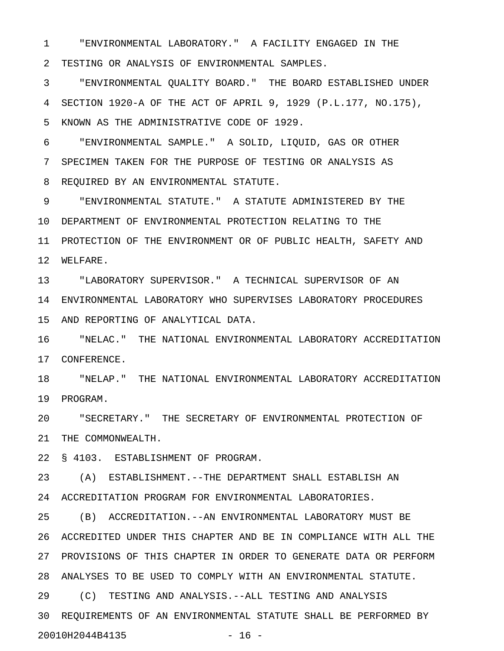1 "ENVIRONMENTAL LABORATORY." A FACILITY ENGAGED IN THE 2 TESTING OR ANALYSIS OF ENVIRONMENTAL SAMPLES.

3 "ENVIRONMENTAL QUALITY BOARD." THE BOARD ESTABLISHED UNDER 4 SECTION 1920-A OF THE ACT OF APRIL 9, 1929 (P.L.177, NO.175), 5 KNOWN AS THE ADMINISTRATIVE CODE OF 1929.

6 "ENVIRONMENTAL SAMPLE." A SOLID, LIQUID, GAS OR OTHER 7 SPECIMEN TAKEN FOR THE PURPOSE OF TESTING OR ANALYSIS AS 8 REQUIRED BY AN ENVIRONMENTAL STATUTE.

9 "ENVIRONMENTAL STATUTE." A STATUTE ADMINISTERED BY THE 10 DEPARTMENT OF ENVIRONMENTAL PROTECTION RELATING TO THE 11 PROTECTION OF THE ENVIRONMENT OR OF PUBLIC HEALTH, SAFETY AND 12 WELFARE.

13 "LABORATORY SUPERVISOR." A TECHNICAL SUPERVISOR OF AN 14 ENVIRONMENTAL LABORATORY WHO SUPERVISES LABORATORY PROCEDURES 15 AND REPORTING OF ANALYTICAL DATA.

16 "NELAC." THE NATIONAL ENVIRONMENTAL LABORATORY ACCREDITATION 17 CONFERENCE.

18 "NELAP." THE NATIONAL ENVIRONMENTAL LABORATORY ACCREDITATION 19 PROGRAM.

20 "SECRETARY." THE SECRETARY OF ENVIRONMENTAL PROTECTION OF 21 THE COMMONWEALTH.

22 § 4103. ESTABLISHMENT OF PROGRAM.

23 (A) ESTABLISHMENT.--THE DEPARTMENT SHALL ESTABLISH AN 24 ACCREDITATION PROGRAM FOR ENVIRONMENTAL LABORATORIES.

25 (B) ACCREDITATION.--AN ENVIRONMENTAL LABORATORY MUST BE 26 ACCREDITED UNDER THIS CHAPTER AND BE IN COMPLIANCE WITH ALL THE 27 PROVISIONS OF THIS CHAPTER IN ORDER TO GENERATE DATA OR PERFORM 28 ANALYSES TO BE USED TO COMPLY WITH AN ENVIRONMENTAL STATUTE.

29 (C) TESTING AND ANALYSIS.--ALL TESTING AND ANALYSIS 30 REQUIREMENTS OF AN ENVIRONMENTAL STATUTE SHALL BE PERFORMED BY 20010H2044B4135 - 16 -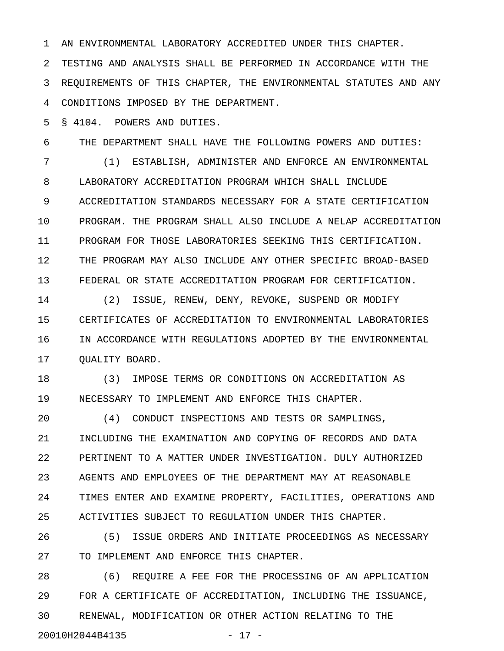1 AN ENVIRONMENTAL LABORATORY ACCREDITED UNDER THIS CHAPTER.

2 TESTING AND ANALYSIS SHALL BE PERFORMED IN ACCORDANCE WITH THE 3 REQUIREMENTS OF THIS CHAPTER, THE ENVIRONMENTAL STATUTES AND ANY 4 CONDITIONS IMPOSED BY THE DEPARTMENT.

5 § 4104. POWERS AND DUTIES.

6 THE DEPARTMENT SHALL HAVE THE FOLLOWING POWERS AND DUTIES:

7 (1) ESTABLISH, ADMINISTER AND ENFORCE AN ENVIRONMENTAL 8 LABORATORY ACCREDITATION PROGRAM WHICH SHALL INCLUDE 9 ACCREDITATION STANDARDS NECESSARY FOR A STATE CERTIFICATION 10 PROGRAM. THE PROGRAM SHALL ALSO INCLUDE A NELAP ACCREDITATION 11 PROGRAM FOR THOSE LABORATORIES SEEKING THIS CERTIFICATION. 12 THE PROGRAM MAY ALSO INCLUDE ANY OTHER SPECIFIC BROAD-BASED 13 FEDERAL OR STATE ACCREDITATION PROGRAM FOR CERTIFICATION.

14 (2) ISSUE, RENEW, DENY, REVOKE, SUSPEND OR MODIFY 15 CERTIFICATES OF ACCREDITATION TO ENVIRONMENTAL LABORATORIES 16 IN ACCORDANCE WITH REGULATIONS ADOPTED BY THE ENVIRONMENTAL 17 OUALITY BOARD.

18 (3) IMPOSE TERMS OR CONDITIONS ON ACCREDITATION AS 19 NECESSARY TO IMPLEMENT AND ENFORCE THIS CHAPTER.

20 (4) CONDUCT INSPECTIONS AND TESTS OR SAMPLINGS, 21 INCLUDING THE EXAMINATION AND COPYING OF RECORDS AND DATA 22 PERTINENT TO A MATTER UNDER INVESTIGATION. DULY AUTHORIZED 23 AGENTS AND EMPLOYEES OF THE DEPARTMENT MAY AT REASONABLE 24 TIMES ENTER AND EXAMINE PROPERTY, FACILITIES, OPERATIONS AND 25 ACTIVITIES SUBJECT TO REGULATION UNDER THIS CHAPTER.

26 (5) ISSUE ORDERS AND INITIATE PROCEEDINGS AS NECESSARY 27 TO IMPLEMENT AND ENFORCE THIS CHAPTER.

28 (6) REQUIRE A FEE FOR THE PROCESSING OF AN APPLICATION 29 FOR A CERTIFICATE OF ACCREDITATION, INCLUDING THE ISSUANCE, 30 RENEWAL, MODIFICATION OR OTHER ACTION RELATING TO THE 20010H2044B4135 - 17 -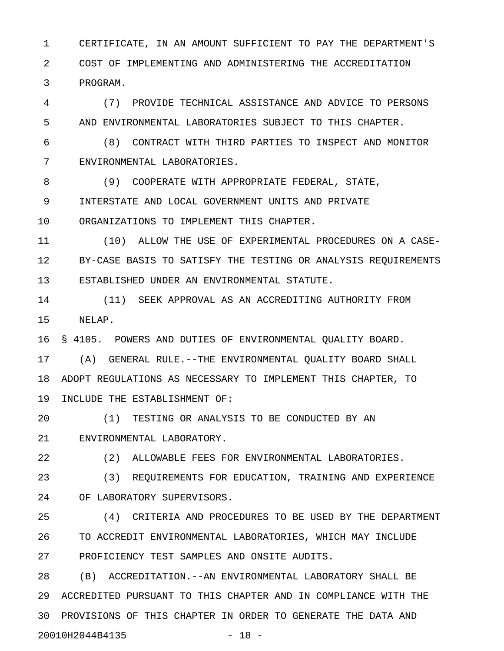1 CERTIFICATE, IN AN AMOUNT SUFFICIENT TO PAY THE DEPARTMENT'S 2 COST OF IMPLEMENTING AND ADMINISTERING THE ACCREDITATION 3 PROGRAM.

4 (7) PROVIDE TECHNICAL ASSISTANCE AND ADVICE TO PERSONS 5 AND ENVIRONMENTAL LABORATORIES SUBJECT TO THIS CHAPTER.

6 (8) CONTRACT WITH THIRD PARTIES TO INSPECT AND MONITOR 7 ENVIRONMENTAL LABORATORIES.

8 (9) COOPERATE WITH APPROPRIATE FEDERAL, STATE, 9 INTERSTATE AND LOCAL GOVERNMENT UNITS AND PRIVATE 10 ORGANIZATIONS TO IMPLEMENT THIS CHAPTER.

11 (10) ALLOW THE USE OF EXPERIMENTAL PROCEDURES ON A CASE-12 BY-CASE BASIS TO SATISFY THE TESTING OR ANALYSIS REQUIREMENTS 13 ESTABLISHED UNDER AN ENVIRONMENTAL STATUTE.

14 (11) SEEK APPROVAL AS AN ACCREDITING AUTHORITY FROM 15 NELAP.

16 § 4105. POWERS AND DUTIES OF ENVIRONMENTAL QUALITY BOARD.

17 (A) GENERAL RULE.--THE ENVIRONMENTAL QUALITY BOARD SHALL 18 ADOPT REGULATIONS AS NECESSARY TO IMPLEMENT THIS CHAPTER, TO 19 INCLUDE THE ESTABLISHMENT OF:

20 (1) TESTING OR ANALYSIS TO BE CONDUCTED BY AN 21 ENVIRONMENTAL LABORATORY.

22 (2) ALLOWABLE FEES FOR ENVIRONMENTAL LABORATORIES.

23 (3) REQUIREMENTS FOR EDUCATION, TRAINING AND EXPERIENCE 24 OF LABORATORY SUPERVISORS.

25 (4) CRITERIA AND PROCEDURES TO BE USED BY THE DEPARTMENT 26 TO ACCREDIT ENVIRONMENTAL LABORATORIES, WHICH MAY INCLUDE 27 PROFICIENCY TEST SAMPLES AND ONSITE AUDITS.

28 (B) ACCREDITATION.--AN ENVIRONMENTAL LABORATORY SHALL BE 29 ACCREDITED PURSUANT TO THIS CHAPTER AND IN COMPLIANCE WITH THE 30 PROVISIONS OF THIS CHAPTER IN ORDER TO GENERATE THE DATA AND 20010H2044B4135 - 18 -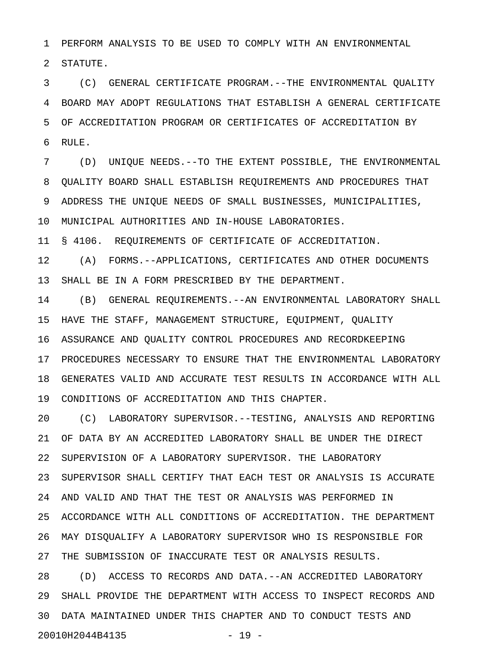1 PERFORM ANALYSIS TO BE USED TO COMPLY WITH AN ENVIRONMENTAL

2 STATUTE.

3 (C) GENERAL CERTIFICATE PROGRAM.--THE ENVIRONMENTAL QUALITY 4 BOARD MAY ADOPT REGULATIONS THAT ESTABLISH A GENERAL CERTIFICATE 5 OF ACCREDITATION PROGRAM OR CERTIFICATES OF ACCREDITATION BY 6 RULE.

7 (D) UNIQUE NEEDS.--TO THE EXTENT POSSIBLE, THE ENVIRONMENTAL 8 QUALITY BOARD SHALL ESTABLISH REQUIREMENTS AND PROCEDURES THAT 9 ADDRESS THE UNIQUE NEEDS OF SMALL BUSINESSES, MUNICIPALITIES, 10 MUNICIPAL AUTHORITIES AND IN-HOUSE LABORATORIES.

11 § 4106. REQUIREMENTS OF CERTIFICATE OF ACCREDITATION.

12 (A) FORMS.--APPLICATIONS, CERTIFICATES AND OTHER DOCUMENTS 13 SHALL BE IN A FORM PRESCRIBED BY THE DEPARTMENT.

14 (B) GENERAL REQUIREMENTS.--AN ENVIRONMENTAL LABORATORY SHALL 15 HAVE THE STAFF, MANAGEMENT STRUCTURE, EQUIPMENT, QUALITY 16 ASSURANCE AND QUALITY CONTROL PROCEDURES AND RECORDKEEPING 17 PROCEDURES NECESSARY TO ENSURE THAT THE ENVIRONMENTAL LABORATORY 18 GENERATES VALID AND ACCURATE TEST RESULTS IN ACCORDANCE WITH ALL 19 CONDITIONS OF ACCREDITATION AND THIS CHAPTER.

20 (C) LABORATORY SUPERVISOR.--TESTING, ANALYSIS AND REPORTING 21 OF DATA BY AN ACCREDITED LABORATORY SHALL BE UNDER THE DIRECT 22 SUPERVISION OF A LABORATORY SUPERVISOR. THE LABORATORY 23 SUPERVISOR SHALL CERTIFY THAT EACH TEST OR ANALYSIS IS ACCURATE 24 AND VALID AND THAT THE TEST OR ANALYSIS WAS PERFORMED IN 25 ACCORDANCE WITH ALL CONDITIONS OF ACCREDITATION. THE DEPARTMENT 26 MAY DISQUALIFY A LABORATORY SUPERVISOR WHO IS RESPONSIBLE FOR 27 THE SUBMISSION OF INACCURATE TEST OR ANALYSIS RESULTS.

28 (D) ACCESS TO RECORDS AND DATA.--AN ACCREDITED LABORATORY 29 SHALL PROVIDE THE DEPARTMENT WITH ACCESS TO INSPECT RECORDS AND 30 DATA MAINTAINED UNDER THIS CHAPTER AND TO CONDUCT TESTS AND 20010H2044B4135 - 19 -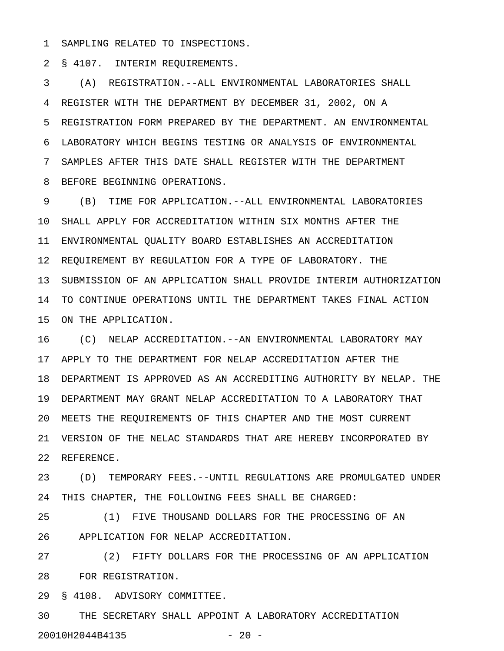1 SAMPLING RELATED TO INSPECTIONS.

2 § 4107. INTERIM REQUIREMENTS.

3 (A) REGISTRATION.--ALL ENVIRONMENTAL LABORATORIES SHALL 4 REGISTER WITH THE DEPARTMENT BY DECEMBER 31, 2002, ON A 5 REGISTRATION FORM PREPARED BY THE DEPARTMENT. AN ENVIRONMENTAL 6 LABORATORY WHICH BEGINS TESTING OR ANALYSIS OF ENVIRONMENTAL 7 SAMPLES AFTER THIS DATE SHALL REGISTER WITH THE DEPARTMENT 8 BEFORE BEGINNING OPERATIONS.

9 (B) TIME FOR APPLICATION.--ALL ENVIRONMENTAL LABORATORIES 10 SHALL APPLY FOR ACCREDITATION WITHIN SIX MONTHS AFTER THE 11 ENVIRONMENTAL QUALITY BOARD ESTABLISHES AN ACCREDITATION 12 REQUIREMENT BY REGULATION FOR A TYPE OF LABORATORY. THE 13 SUBMISSION OF AN APPLICATION SHALL PROVIDE INTERIM AUTHORIZATION 14 TO CONTINUE OPERATIONS UNTIL THE DEPARTMENT TAKES FINAL ACTION 15 ON THE APPLICATION.

16 (C) NELAP ACCREDITATION.--AN ENVIRONMENTAL LABORATORY MAY 17 APPLY TO THE DEPARTMENT FOR NELAP ACCREDITATION AFTER THE 18 DEPARTMENT IS APPROVED AS AN ACCREDITING AUTHORITY BY NELAP. THE 19 DEPARTMENT MAY GRANT NELAP ACCREDITATION TO A LABORATORY THAT 20 MEETS THE REQUIREMENTS OF THIS CHAPTER AND THE MOST CURRENT 21 VERSION OF THE NELAC STANDARDS THAT ARE HEREBY INCORPORATED BY 22 REFERENCE.

23 (D) TEMPORARY FEES.--UNTIL REGULATIONS ARE PROMULGATED UNDER 24 THIS CHAPTER, THE FOLLOWING FEES SHALL BE CHARGED:

25 (1) FIVE THOUSAND DOLLARS FOR THE PROCESSING OF AN 26 APPLICATION FOR NELAP ACCREDITATION.

27 (2) FIFTY DOLLARS FOR THE PROCESSING OF AN APPLICATION 28 FOR REGISTRATION.

29 § 4108. ADVISORY COMMITTEE.

30 THE SECRETARY SHALL APPOINT A LABORATORY ACCREDITATION 20010H2044B4135 - 20 -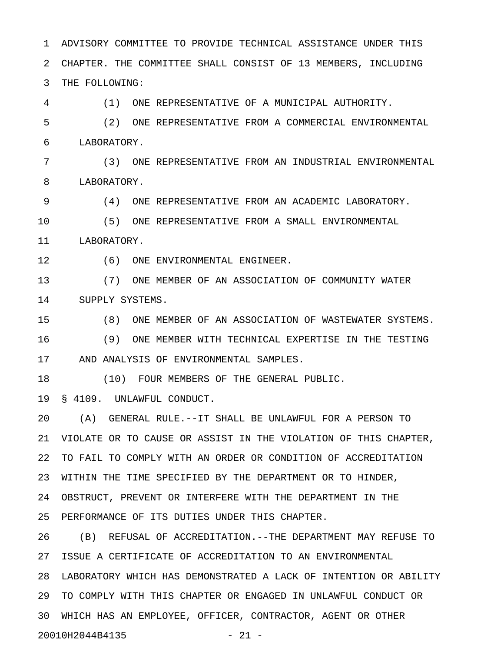1 ADVISORY COMMITTEE TO PROVIDE TECHNICAL ASSISTANCE UNDER THIS 2 CHAPTER. THE COMMITTEE SHALL CONSIST OF 13 MEMBERS, INCLUDING 3 THE FOLLOWING:

4 (1) ONE REPRESENTATIVE OF A MUNICIPAL AUTHORITY.

5 (2) ONE REPRESENTATIVE FROM A COMMERCIAL ENVIRONMENTAL 6 LABORATORY.

7 (3) ONE REPRESENTATIVE FROM AN INDUSTRIAL ENVIRONMENTAL 8 LABORATORY.

9 (4) ONE REPRESENTATIVE FROM AN ACADEMIC LABORATORY.

10 (5) ONE REPRESENTATIVE FROM A SMALL ENVIRONMENTAL 11 LABORATORY.

12 (6) ONE ENVIRONMENTAL ENGINEER.

13 (7) ONE MEMBER OF AN ASSOCIATION OF COMMUNITY WATER 14 SUPPLY SYSTEMS.

15 (8) ONE MEMBER OF AN ASSOCIATION OF WASTEWATER SYSTEMS. 16 (9) ONE MEMBER WITH TECHNICAL EXPERTISE IN THE TESTING 17 AND ANALYSIS OF ENVIRONMENTAL SAMPLES.

18 (10) FOUR MEMBERS OF THE GENERAL PUBLIC.

19 § 4109. UNLAWFUL CONDUCT.

20 (A) GENERAL RULE.--IT SHALL BE UNLAWFUL FOR A PERSON TO 21 VIOLATE OR TO CAUSE OR ASSIST IN THE VIOLATION OF THIS CHAPTER, 22 TO FAIL TO COMPLY WITH AN ORDER OR CONDITION OF ACCREDITATION 23 WITHIN THE TIME SPECIFIED BY THE DEPARTMENT OR TO HINDER, 24 OBSTRUCT, PREVENT OR INTERFERE WITH THE DEPARTMENT IN THE 25 PERFORMANCE OF ITS DUTIES UNDER THIS CHAPTER.

26 (B) REFUSAL OF ACCREDITATION.--THE DEPARTMENT MAY REFUSE TO 27 ISSUE A CERTIFICATE OF ACCREDITATION TO AN ENVIRONMENTAL 28 LABORATORY WHICH HAS DEMONSTRATED A LACK OF INTENTION OR ABILITY 29 TO COMPLY WITH THIS CHAPTER OR ENGAGED IN UNLAWFUL CONDUCT OR 30 WHICH HAS AN EMPLOYEE, OFFICER, CONTRACTOR, AGENT OR OTHER 20010H2044B4135 - 21 -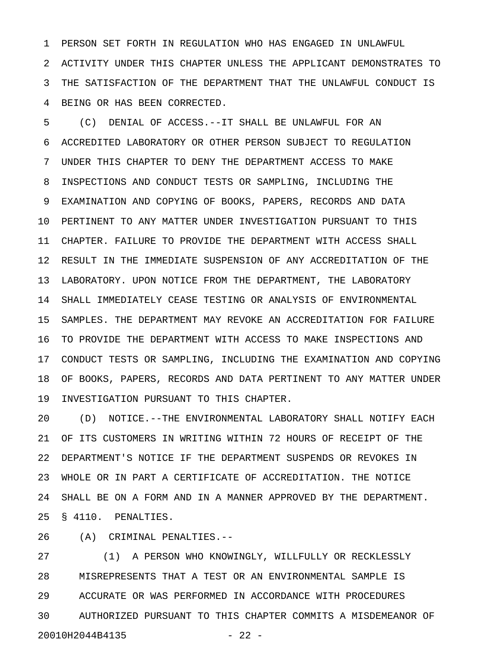1 PERSON SET FORTH IN REGULATION WHO HAS ENGAGED IN UNLAWFUL 2 ACTIVITY UNDER THIS CHAPTER UNLESS THE APPLICANT DEMONSTRATES TO 3 THE SATISFACTION OF THE DEPARTMENT THAT THE UNLAWFUL CONDUCT IS 4 BEING OR HAS BEEN CORRECTED.

5 (C) DENIAL OF ACCESS.--IT SHALL BE UNLAWFUL FOR AN 6 ACCREDITED LABORATORY OR OTHER PERSON SUBJECT TO REGULATION 7 UNDER THIS CHAPTER TO DENY THE DEPARTMENT ACCESS TO MAKE 8 INSPECTIONS AND CONDUCT TESTS OR SAMPLING, INCLUDING THE 9 EXAMINATION AND COPYING OF BOOKS, PAPERS, RECORDS AND DATA 10 PERTINENT TO ANY MATTER UNDER INVESTIGATION PURSUANT TO THIS 11 CHAPTER. FAILURE TO PROVIDE THE DEPARTMENT WITH ACCESS SHALL 12 RESULT IN THE IMMEDIATE SUSPENSION OF ANY ACCREDITATION OF THE 13 LABORATORY. UPON NOTICE FROM THE DEPARTMENT, THE LABORATORY 14 SHALL IMMEDIATELY CEASE TESTING OR ANALYSIS OF ENVIRONMENTAL 15 SAMPLES. THE DEPARTMENT MAY REVOKE AN ACCREDITATION FOR FAILURE 16 TO PROVIDE THE DEPARTMENT WITH ACCESS TO MAKE INSPECTIONS AND 17 CONDUCT TESTS OR SAMPLING, INCLUDING THE EXAMINATION AND COPYING 18 OF BOOKS, PAPERS, RECORDS AND DATA PERTINENT TO ANY MATTER UNDER 19 INVESTIGATION PURSUANT TO THIS CHAPTER.

20 (D) NOTICE.--THE ENVIRONMENTAL LABORATORY SHALL NOTIFY EACH 21 OF ITS CUSTOMERS IN WRITING WITHIN 72 HOURS OF RECEIPT OF THE 22 DEPARTMENT'S NOTICE IF THE DEPARTMENT SUSPENDS OR REVOKES IN 23 WHOLE OR IN PART A CERTIFICATE OF ACCREDITATION. THE NOTICE 24 SHALL BE ON A FORM AND IN A MANNER APPROVED BY THE DEPARTMENT. 25 § 4110. PENALTIES.

26 (A) CRIMINAL PENALTIES.--

27 (1) A PERSON WHO KNOWINGLY, WILLFULLY OR RECKLESSLY 28 MISREPRESENTS THAT A TEST OR AN ENVIRONMENTAL SAMPLE IS 29 ACCURATE OR WAS PERFORMED IN ACCORDANCE WITH PROCEDURES 30 AUTHORIZED PURSUANT TO THIS CHAPTER COMMITS A MISDEMEANOR OF 20010H2044B4135 - 22 -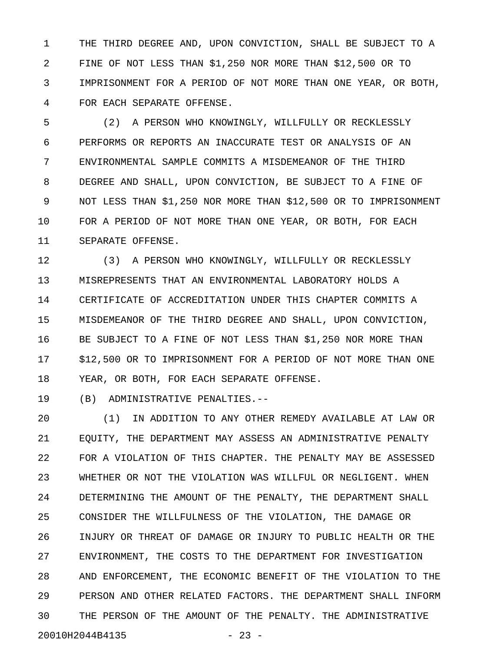1 THE THIRD DEGREE AND, UPON CONVICTION, SHALL BE SUBJECT TO A 2 FINE OF NOT LESS THAN \$1,250 NOR MORE THAN \$12,500 OR TO 3 IMPRISONMENT FOR A PERIOD OF NOT MORE THAN ONE YEAR, OR BOTH, 4 FOR EACH SEPARATE OFFENSE.

5 (2) A PERSON WHO KNOWINGLY, WILLFULLY OR RECKLESSLY 6 PERFORMS OR REPORTS AN INACCURATE TEST OR ANALYSIS OF AN 7 ENVIRONMENTAL SAMPLE COMMITS A MISDEMEANOR OF THE THIRD 8 DEGREE AND SHALL, UPON CONVICTION, BE SUBJECT TO A FINE OF 9 NOT LESS THAN \$1,250 NOR MORE THAN \$12,500 OR TO IMPRISONMENT 10 FOR A PERIOD OF NOT MORE THAN ONE YEAR, OR BOTH, FOR EACH 11 SEPARATE OFFENSE.

12 (3) A PERSON WHO KNOWINGLY, WILLFULLY OR RECKLESSLY 13 MISREPRESENTS THAT AN ENVIRONMENTAL LABORATORY HOLDS A 14 CERTIFICATE OF ACCREDITATION UNDER THIS CHAPTER COMMITS A 15 MISDEMEANOR OF THE THIRD DEGREE AND SHALL, UPON CONVICTION, 16 BE SUBJECT TO A FINE OF NOT LESS THAN \$1,250 NOR MORE THAN 17 \$12,500 OR TO IMPRISONMENT FOR A PERIOD OF NOT MORE THAN ONE 18 YEAR, OR BOTH, FOR EACH SEPARATE OFFENSE.

19 (B) ADMINISTRATIVE PENALTIES.--

20 (1) IN ADDITION TO ANY OTHER REMEDY AVAILABLE AT LAW OR 21 EQUITY, THE DEPARTMENT MAY ASSESS AN ADMINISTRATIVE PENALTY 22 FOR A VIOLATION OF THIS CHAPTER. THE PENALTY MAY BE ASSESSED 23 WHETHER OR NOT THE VIOLATION WAS WILLFUL OR NEGLIGENT. WHEN 24 DETERMINING THE AMOUNT OF THE PENALTY, THE DEPARTMENT SHALL 25 CONSIDER THE WILLFULNESS OF THE VIOLATION, THE DAMAGE OR 26 INJURY OR THREAT OF DAMAGE OR INJURY TO PUBLIC HEALTH OR THE 27 ENVIRONMENT, THE COSTS TO THE DEPARTMENT FOR INVESTIGATION 28 AND ENFORCEMENT, THE ECONOMIC BENEFIT OF THE VIOLATION TO THE 29 PERSON AND OTHER RELATED FACTORS. THE DEPARTMENT SHALL INFORM 30 THE PERSON OF THE AMOUNT OF THE PENALTY. THE ADMINISTRATIVE 20010H2044B4135 - 23 -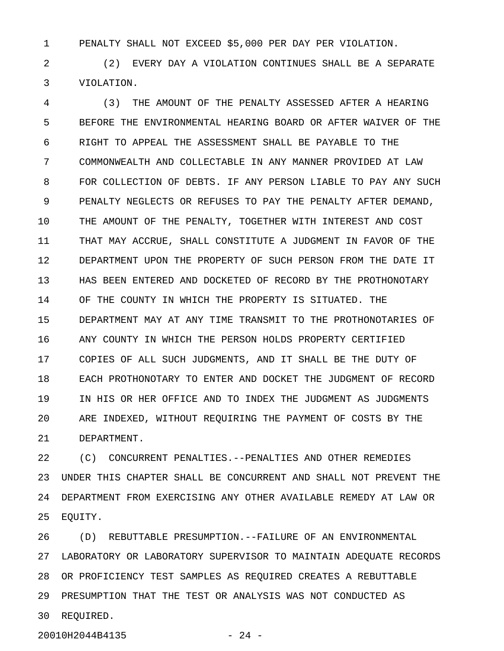1 PENALTY SHALL NOT EXCEED \$5,000 PER DAY PER VIOLATION.

2 (2) EVERY DAY A VIOLATION CONTINUES SHALL BE A SEPARATE 3 VIOLATION.

4 (3) THE AMOUNT OF THE PENALTY ASSESSED AFTER A HEARING 5 BEFORE THE ENVIRONMENTAL HEARING BOARD OR AFTER WAIVER OF THE 6 RIGHT TO APPEAL THE ASSESSMENT SHALL BE PAYABLE TO THE 7 COMMONWEALTH AND COLLECTABLE IN ANY MANNER PROVIDED AT LAW 8 FOR COLLECTION OF DEBTS. IF ANY PERSON LIABLE TO PAY ANY SUCH 9 PENALTY NEGLECTS OR REFUSES TO PAY THE PENALTY AFTER DEMAND, 10 THE AMOUNT OF THE PENALTY, TOGETHER WITH INTEREST AND COST 11 THAT MAY ACCRUE, SHALL CONSTITUTE A JUDGMENT IN FAVOR OF THE 12 DEPARTMENT UPON THE PROPERTY OF SUCH PERSON FROM THE DATE IT 13 HAS BEEN ENTERED AND DOCKETED OF RECORD BY THE PROTHONOTARY 14 OF THE COUNTY IN WHICH THE PROPERTY IS SITUATED. THE 15 DEPARTMENT MAY AT ANY TIME TRANSMIT TO THE PROTHONOTARIES OF 16 ANY COUNTY IN WHICH THE PERSON HOLDS PROPERTY CERTIFIED 17 COPIES OF ALL SUCH JUDGMENTS, AND IT SHALL BE THE DUTY OF 18 EACH PROTHONOTARY TO ENTER AND DOCKET THE JUDGMENT OF RECORD 19 IN HIS OR HER OFFICE AND TO INDEX THE JUDGMENT AS JUDGMENTS 20 ARE INDEXED, WITHOUT REQUIRING THE PAYMENT OF COSTS BY THE 21 DEPARTMENT.

22 (C) CONCURRENT PENALTIES.--PENALTIES AND OTHER REMEDIES 23 UNDER THIS CHAPTER SHALL BE CONCURRENT AND SHALL NOT PREVENT THE 24 DEPARTMENT FROM EXERCISING ANY OTHER AVAILABLE REMEDY AT LAW OR 25 EQUITY.

26 (D) REBUTTABLE PRESUMPTION.--FAILURE OF AN ENVIRONMENTAL 27 LABORATORY OR LABORATORY SUPERVISOR TO MAINTAIN ADEQUATE RECORDS 28 OR PROFICIENCY TEST SAMPLES AS REQUIRED CREATES A REBUTTABLE 29 PRESUMPTION THAT THE TEST OR ANALYSIS WAS NOT CONDUCTED AS 30 REQUIRED.

20010H2044B4135 - 24 -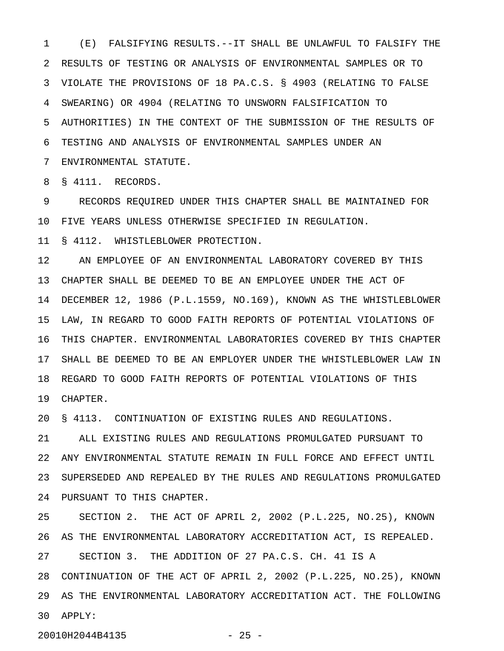1 (E) FALSIFYING RESULTS.--IT SHALL BE UNLAWFUL TO FALSIFY THE 2 RESULTS OF TESTING OR ANALYSIS OF ENVIRONMENTAL SAMPLES OR TO 3 VIOLATE THE PROVISIONS OF 18 PA.C.S. § 4903 (RELATING TO FALSE 4 SWEARING) OR 4904 (RELATING TO UNSWORN FALSIFICATION TO 5 AUTHORITIES) IN THE CONTEXT OF THE SUBMISSION OF THE RESULTS OF 6 TESTING AND ANALYSIS OF ENVIRONMENTAL SAMPLES UNDER AN 7 ENVIRONMENTAL STATUTE.

8 § 4111. RECORDS.

9 RECORDS REQUIRED UNDER THIS CHAPTER SHALL BE MAINTAINED FOR 10 FIVE YEARS UNLESS OTHERWISE SPECIFIED IN REGULATION.

11 § 4112. WHISTLEBLOWER PROTECTION.

12 AN EMPLOYEE OF AN ENVIRONMENTAL LABORATORY COVERED BY THIS 13 CHAPTER SHALL BE DEEMED TO BE AN EMPLOYEE UNDER THE ACT OF 14 DECEMBER 12, 1986 (P.L.1559, NO.169), KNOWN AS THE WHISTLEBLOWER 15 LAW, IN REGARD TO GOOD FAITH REPORTS OF POTENTIAL VIOLATIONS OF 16 THIS CHAPTER. ENVIRONMENTAL LABORATORIES COVERED BY THIS CHAPTER 17 SHALL BE DEEMED TO BE AN EMPLOYER UNDER THE WHISTLEBLOWER LAW IN 18 REGARD TO GOOD FAITH REPORTS OF POTENTIAL VIOLATIONS OF THIS 19 CHAPTER.

20 § 4113. CONTINUATION OF EXISTING RULES AND REGULATIONS.

21 ALL EXISTING RULES AND REGULATIONS PROMULGATED PURSUANT TO 22 ANY ENVIRONMENTAL STATUTE REMAIN IN FULL FORCE AND EFFECT UNTIL 23 SUPERSEDED AND REPEALED BY THE RULES AND REGULATIONS PROMULGATED 24 PURSUANT TO THIS CHAPTER.

25 SECTION 2. THE ACT OF APRIL 2, 2002 (P.L.225, NO.25), KNOWN 26 AS THE ENVIRONMENTAL LABORATORY ACCREDITATION ACT, IS REPEALED. 27 SECTION 3. THE ADDITION OF 27 PA.C.S. CH. 41 IS A 28 CONTINUATION OF THE ACT OF APRIL 2, 2002 (P.L.225, NO.25), KNOWN 29 AS THE ENVIRONMENTAL LABORATORY ACCREDITATION ACT. THE FOLLOWING 30 APPLY:

20010H2044B4135 - 25 -